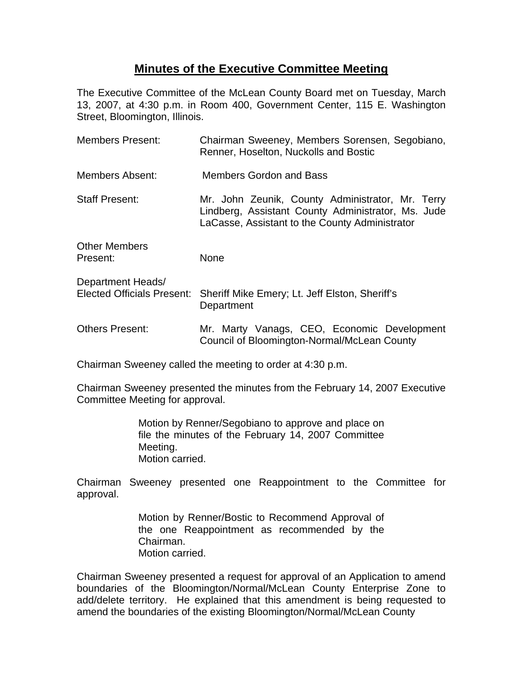## **Minutes of the Executive Committee Meeting**

The Executive Committee of the McLean County Board met on Tuesday, March 13, 2007, at 4:30 p.m. in Room 400, Government Center, 115 E. Washington Street, Bloomington, Illinois.

| <b>Members Present:</b>                                | Chairman Sweeney, Members Sorensen, Segobiano,<br>Renner, Hoselton, Nuckolls and Bostic                                                                  |
|--------------------------------------------------------|----------------------------------------------------------------------------------------------------------------------------------------------------------|
| Members Absent:                                        | <b>Members Gordon and Bass</b>                                                                                                                           |
| <b>Staff Present:</b>                                  | Mr. John Zeunik, County Administrator, Mr. Terry<br>Lindberg, Assistant County Administrator, Ms. Jude<br>LaCasse, Assistant to the County Administrator |
| <b>Other Members</b><br>Present:                       | <b>None</b>                                                                                                                                              |
| Department Heads/<br><b>Elected Officials Present:</b> | Sheriff Mike Emery; Lt. Jeff Elston, Sheriff's<br>Department                                                                                             |
| <b>Others Present:</b>                                 | Mr. Marty Vanags, CEO, Economic Development<br>Council of Bloomington-Normal/McLean County                                                               |

Chairman Sweeney called the meeting to order at 4:30 p.m.

Chairman Sweeney presented the minutes from the February 14, 2007 Executive Committee Meeting for approval.

> Motion by Renner/Segobiano to approve and place on file the minutes of the February 14, 2007 Committee Meeting. Motion carried.

Chairman Sweeney presented one Reappointment to the Committee for approval.

> Motion by Renner/Bostic to Recommend Approval of the one Reappointment as recommended by the Chairman. Motion carried.

Chairman Sweeney presented a request for approval of an Application to amend boundaries of the Bloomington/Normal/McLean County Enterprise Zone to add/delete territory. He explained that this amendment is being requested to amend the boundaries of the existing Bloomington/Normal/McLean County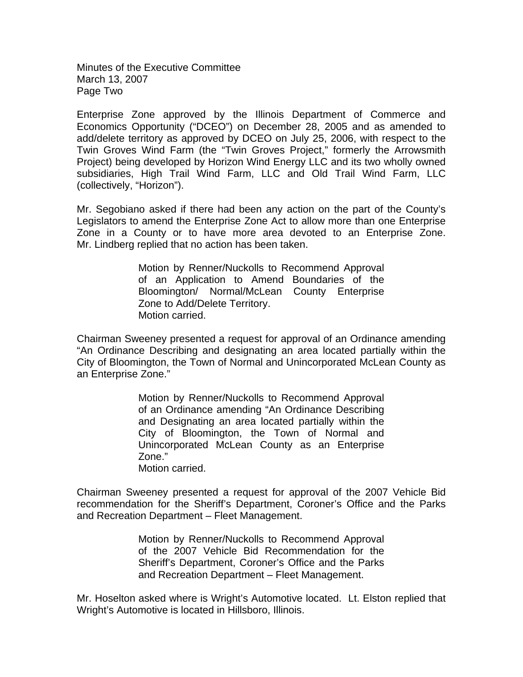Minutes of the Executive Committee March 13, 2007 Page Two

Enterprise Zone approved by the Illinois Department of Commerce and Economics Opportunity ("DCEO") on December 28, 2005 and as amended to add/delete territory as approved by DCEO on July 25, 2006, with respect to the Twin Groves Wind Farm (the "Twin Groves Project," formerly the Arrowsmith Project) being developed by Horizon Wind Energy LLC and its two wholly owned subsidiaries, High Trail Wind Farm, LLC and Old Trail Wind Farm, LLC (collectively, "Horizon").

Mr. Segobiano asked if there had been any action on the part of the County's Legislators to amend the Enterprise Zone Act to allow more than one Enterprise Zone in a County or to have more area devoted to an Enterprise Zone. Mr. Lindberg replied that no action has been taken.

> Motion by Renner/Nuckolls to Recommend Approval of an Application to Amend Boundaries of the Bloomington/ Normal/McLean County Enterprise Zone to Add/Delete Territory. Motion carried.

Chairman Sweeney presented a request for approval of an Ordinance amending "An Ordinance Describing and designating an area located partially within the City of Bloomington, the Town of Normal and Unincorporated McLean County as an Enterprise Zone."

> Motion by Renner/Nuckolls to Recommend Approval of an Ordinance amending "An Ordinance Describing and Designating an area located partially within the City of Bloomington, the Town of Normal and Unincorporated McLean County as an Enterprise Zone." Motion carried.

Chairman Sweeney presented a request for approval of the 2007 Vehicle Bid recommendation for the Sheriff's Department, Coroner's Office and the Parks and Recreation Department – Fleet Management.

> Motion by Renner/Nuckolls to Recommend Approval of the 2007 Vehicle Bid Recommendation for the Sheriff's Department, Coroner's Office and the Parks and Recreation Department – Fleet Management.

Mr. Hoselton asked where is Wright's Automotive located. Lt. Elston replied that Wright's Automotive is located in Hillsboro, Illinois.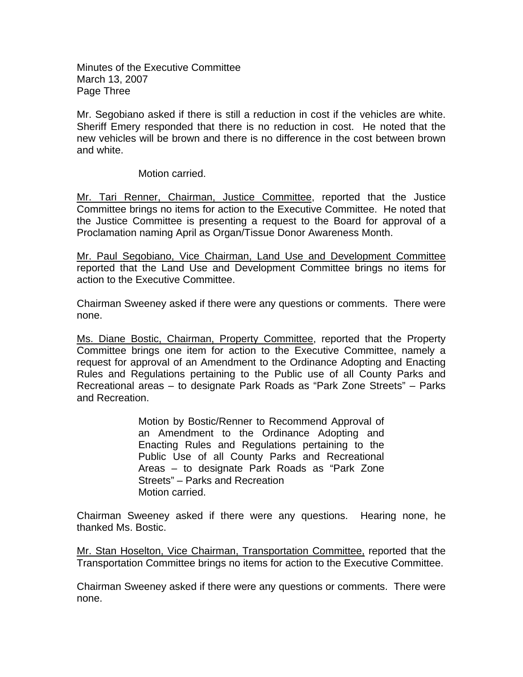Minutes of the Executive Committee March 13, 2007 Page Three

Mr. Segobiano asked if there is still a reduction in cost if the vehicles are white. Sheriff Emery responded that there is no reduction in cost. He noted that the new vehicles will be brown and there is no difference in the cost between brown and white.

Motion carried.

Mr. Tari Renner, Chairman, Justice Committee, reported that the Justice Committee brings no items for action to the Executive Committee. He noted that the Justice Committee is presenting a request to the Board for approval of a Proclamation naming April as Organ/Tissue Donor Awareness Month.

Mr. Paul Segobiano, Vice Chairman, Land Use and Development Committee reported that the Land Use and Development Committee brings no items for action to the Executive Committee.

Chairman Sweeney asked if there were any questions or comments. There were none.

Ms. Diane Bostic, Chairman, Property Committee, reported that the Property Committee brings one item for action to the Executive Committee, namely a request for approval of an Amendment to the Ordinance Adopting and Enacting Rules and Regulations pertaining to the Public use of all County Parks and Recreational areas – to designate Park Roads as "Park Zone Streets" – Parks and Recreation.

> Motion by Bostic/Renner to Recommend Approval of an Amendment to the Ordinance Adopting and Enacting Rules and Regulations pertaining to the Public Use of all County Parks and Recreational Areas – to designate Park Roads as "Park Zone Streets" – Parks and Recreation Motion carried.

Chairman Sweeney asked if there were any questions. Hearing none, he thanked Ms. Bostic.

Mr. Stan Hoselton, Vice Chairman, Transportation Committee, reported that the Transportation Committee brings no items for action to the Executive Committee.

Chairman Sweeney asked if there were any questions or comments. There were none.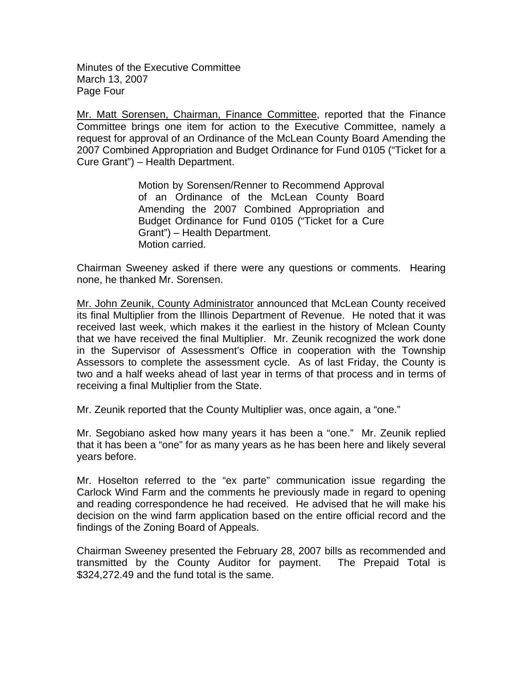Minutes of the Executive Committee March 13, 2007 Page Four

Mr. Matt Sorensen, Chairman, Finance Committee, reported that the Finance Committee brings one item for action to the Executive Committee, namely a request for approval of an Ordinance of the McLean County Board Amending the 2007 Combined Appropriation and Budget Ordinance for Fund 0105 ("Ticket for a Cure Grant") – Health Department.

> Motion by Sorensen/Renner to Recommend Approval of an Ordinance of the McLean County Board Amending the 2007 Combined Appropriation and Budget Ordinance for Fund 0105 ("Ticket for a Cure Grant") – Health Department. Motion carried.

Chairman Sweeney asked if there were any questions or comments. Hearing none, he thanked Mr. Sorensen.

Mr. John Zeunik, County Administrator announced that McLean County received its final Multiplier from the Illinois Department of Revenue. He noted that it was received last week, which makes it the earliest in the history of Mclean County that we have received the final Multiplier. Mr. Zeunik recognized the work done in the Supervisor of Assessment's Office in cooperation with the Township Assessors to complete the assessment cycle. As of last Friday, the County is two and a half weeks ahead of last year in terms of that process and in terms of receiving a final Multiplier from the State.

Mr. Zeunik reported that the County Multiplier was, once again, a "one."

Mr. Segobiano asked how many years it has been a "one." Mr. Zeunik replied that it has been a "one" for as many years as he has been here and likely several years before.

Mr. Hoselton referred to the "ex parte" communication issue regarding the Carlock Wind Farm and the comments he previously made in regard to opening and reading correspondence he had received. He advised that he will make his decision on the wind farm application based on the entire official record and the findings of the Zoning Board of Appeals.

Chairman Sweeney presented the February 28, 2007 bills as recommended and transmitted by the County Auditor for payment. The Prepaid Total is \$324,272.49 and the fund total is the same.